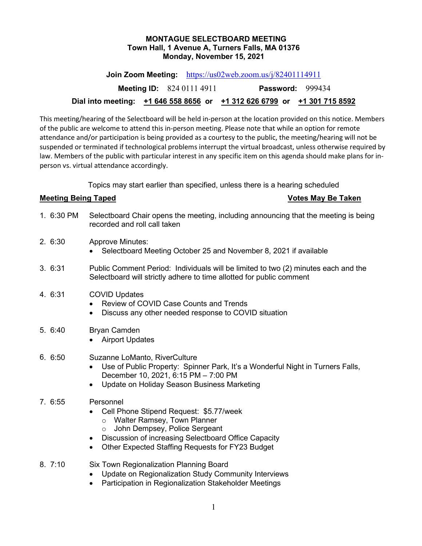#### **MONTAGUE SELECTBOARD MEETING Town Hall, 1 Avenue A, Turners Falls, MA 01376 Monday, November 15, 2021**

**Join Zoom Meeting:** <https://us02web.zoom.us/j/82401114911>

**Meeting ID:** 824 0111 4911 **Password:** 999434

# **Dial into meeting: +1 646 558 8656 or +1 312 626 6799 or +1 301 715 8592**

This meeting/hearing of the Selectboard will be held in-person at the location provided on this notice. Members of the public are welcome to attend this in-person meeting. Please note that while an option for remote attendance and/or participation is being provided as a courtesy to the public, the meeting/hearing will not be suspended or terminated if technological problems interrupt the virtual broadcast, unless otherwise required by law. Members of the public with particular interest in any specific item on this agenda should make plans for inperson vs. virtual attendance accordingly.

Topics may start earlier than specified, unless there is a hearing scheduled

### **Meeting Being Taped Votes May Be Taken**

- 1. 6:30 PM Selectboard Chair opens the meeting, including announcing that the meeting is being recorded and roll call taken
- 2. 6:30 Approve Minutes:
	- Selectboard Meeting October 25 and November 8, 2021 if available
- 3. 6:31 Public Comment Period: Individuals will be limited to two (2) minutes each and the Selectboard will strictly adhere to time allotted for public comment

# 4. 6:31 COVID Updates

- Review of COVID Case Counts and Trends
- Discuss any other needed response to COVID situation
- 5. 6:40 Bryan Camden
	- Airport Updates
- 6. 6:50 Suzanne LoManto, RiverCulture
	- Use of Public Property: Spinner Park, It's a Wonderful Night in Turners Falls, December 10, 2021, 6:15 PM – 7:00 PM
	- Update on Holiday Season Business Marketing
- 7. 6:55 Personnel
	- Cell Phone Stipend Request: \$5.77/week
		- o Walter Ramsey, Town Planner
		- o John Dempsey, Police Sergeant
	- Discussion of increasing Selectboard Office Capacity
	- Other Expected Staffing Requests for FY23 Budget
- 8. 7:10 Six Town Regionalization Planning Board
	- Update on Regionalization Study Community Interviews
	- Participation in Regionalization Stakeholder Meetings